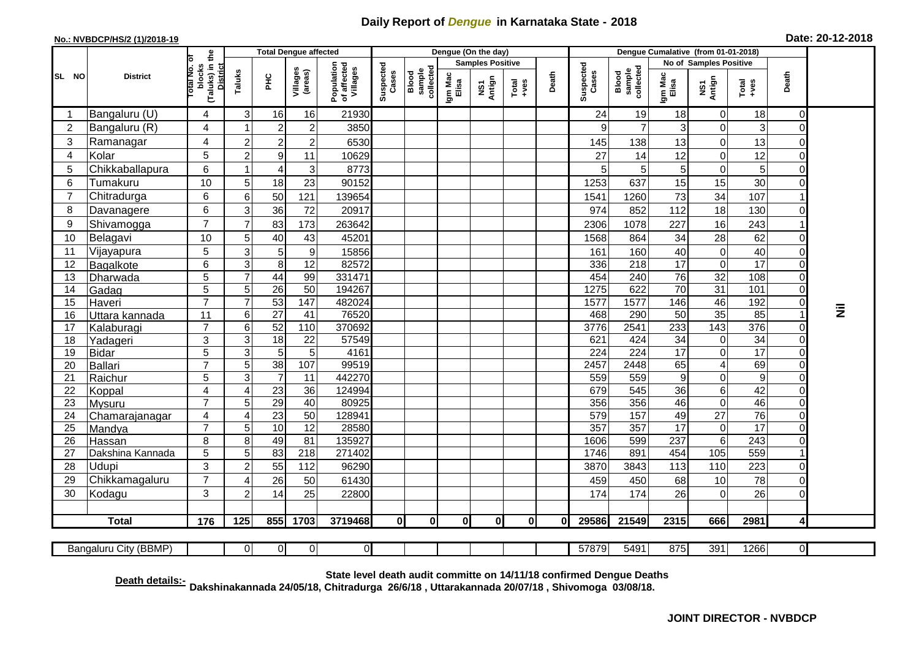## **Daily Report of** *Dengue* **in Karnataka State - 2018**

## **No.: NVBDCP/HS/2 (1)/2018-19 Date: 20-12-2018**

|                         | <b>District</b>                                                                                                                                                                       | (Taluks) in the<br>ब<br>blocks<br><b>District</b><br>otal No. | <b>Total Dengue affected</b> |                 |                        |                                       |                    |                              |                         | Dengue (On the day) |                                                                                                                                                                                                                                                                                                                                                                                                             |          |                    |                              |                  |                                  |                         |                               |   |
|-------------------------|---------------------------------------------------------------------------------------------------------------------------------------------------------------------------------------|---------------------------------------------------------------|------------------------------|-----------------|------------------------|---------------------------------------|--------------------|------------------------------|-------------------------|---------------------|-------------------------------------------------------------------------------------------------------------------------------------------------------------------------------------------------------------------------------------------------------------------------------------------------------------------------------------------------------------------------------------------------------------|----------|--------------------|------------------------------|------------------|----------------------------------|-------------------------|-------------------------------|---|
| SL NO                   |                                                                                                                                                                                       |                                                               |                              |                 |                        |                                       | Suspected<br>Cases |                              | <b>Samples Positive</b> |                     |                                                                                                                                                                                                                                                                                                                                                                                                             |          |                    |                              |                  | No of Samples Positive           |                         |                               |   |
|                         |                                                                                                                                                                                       |                                                               | Taluks                       | <b>PHC</b>      | Villages<br>(areas)    | Population<br>of affected<br>Villages |                    | Blood<br>sample<br>collected | Igm Mac<br>Elisa        | NS1<br>Antign       | $\begin{array}{c}\n\text{Total} \\ \text{1-4} \\ \text{1-4} \\ \text{1-4} \\ \text{1-4} \\ \text{1-4} \\ \text{1-4} \\ \text{1-4} \\ \text{1-4} \\ \text{1-4} \\ \text{1-4} \\ \text{1-4} \\ \text{1-4} \\ \text{1-4} \\ \text{1-4} \\ \text{1-4} \\ \text{1-4} \\ \text{1-4} \\ \text{1-4} \\ \text{1-4} \\ \text{1-4} \\ \text{1-4} \\ \text{1-4} \\ \text{1-4} \\ \text{1-4} \\ \text{1-4} \\ \text{1-4$ | Death    | Suspected<br>Cases | sample<br>collected<br>Blood | Igm Mac<br>Elisa | NS1<br>Antign                    | Total<br>+ves           | Death                         |   |
| $\overline{\mathbf{1}}$ | Bangaluru (U)                                                                                                                                                                         | 4                                                             | 3                            | 16              | 16                     | 21930                                 |                    |                              |                         |                     |                                                                                                                                                                                                                                                                                                                                                                                                             |          | 24                 | 19                           | 18               | $\overline{0}$                   | 18                      | $\Omega$                      |   |
| $\overline{2}$          | Bangaluru (R)                                                                                                                                                                         | 4                                                             | -1                           | $\overline{c}$  | $\overline{2}$         | 3850                                  |                    |                              |                         |                     |                                                                                                                                                                                                                                                                                                                                                                                                             |          | 9                  | $\overline{7}$               | 3                | $\overline{0}$                   | 3                       | $\Omega$                      |   |
| 3                       | Ramanagar                                                                                                                                                                             | 4                                                             | $\overline{2}$               | 2               | $\overline{2}$         | 6530                                  |                    |                              |                         |                     |                                                                                                                                                                                                                                                                                                                                                                                                             |          | 145                | 138                          | 13               | $\mathbf 0$                      | 13                      | 0                             |   |
| 4                       | Kolar                                                                                                                                                                                 | 5                                                             | $\overline{2}$               | $\overline{9}$  | 11                     | 10629                                 |                    |                              |                         |                     |                                                                                                                                                                                                                                                                                                                                                                                                             |          | 27                 | 14                           | 12               | $\overline{0}$                   | 12                      | $\overline{0}$                |   |
| 5                       | Chikkaballapura                                                                                                                                                                       | 6                                                             | 1                            | 4               | 3                      | 8773                                  |                    |                              |                         |                     |                                                                                                                                                                                                                                                                                                                                                                                                             |          | 5                  | $5\phantom{.0}$              | 5                | $\mathbf 0$                      | 5                       | $\Omega$                      |   |
| 6                       | Tumakuru                                                                                                                                                                              | 10                                                            | 5                            | 18              | 23                     | 90152                                 |                    |                              |                         |                     |                                                                                                                                                                                                                                                                                                                                                                                                             |          | 1253               | 637                          | 15               | 15                               | 30                      | $\Omega$                      |   |
| $\overline{7}$          | Chitradurga                                                                                                                                                                           | 6                                                             | 6                            | 50              | 121                    | 139654                                |                    |                              |                         |                     |                                                                                                                                                                                                                                                                                                                                                                                                             |          | 1541               | 1260                         | 73               | 34                               | 107                     | 1                             |   |
| 8                       | Davanagere                                                                                                                                                                            | 6                                                             | 3                            | 36              | 72                     | 20917                                 |                    |                              |                         |                     |                                                                                                                                                                                                                                                                                                                                                                                                             |          | 974                | 852                          | 112              | 18                               | 130                     | $\Omega$                      |   |
| 9                       | Shivamogga                                                                                                                                                                            | $\overline{7}$                                                | $\overline{7}$               | 83              | 173                    | 263642                                |                    |                              |                         |                     |                                                                                                                                                                                                                                                                                                                                                                                                             |          | 2306               | 1078                         | 227              | 16                               | 243                     | -1                            |   |
| 10                      | Belagavi                                                                                                                                                                              | 10                                                            | 5                            | 40              | 43                     | 45201                                 |                    |                              |                         |                     |                                                                                                                                                                                                                                                                                                                                                                                                             |          | 1568               | 864                          | 34               | 28                               | 62                      | $\Omega$                      |   |
| 11                      | Vijayapura                                                                                                                                                                            | 5                                                             | 3                            | $\overline{5}$  | $\boldsymbol{9}$       | 15856                                 |                    |                              |                         |                     |                                                                                                                                                                                                                                                                                                                                                                                                             |          | 161                | 160                          | 40               | $\mathbf 0$                      | 40                      | $\overline{O}$                |   |
| 12                      | Bagalkote                                                                                                                                                                             | 6                                                             | 3                            | 8 <sup>1</sup>  | $\overline{12}$        | 82572                                 |                    |                              |                         |                     |                                                                                                                                                                                                                                                                                                                                                                                                             |          | 336                | $\overline{218}$             | 17               | $\overline{0}$                   | $\overline{17}$         | $\mathbf 0$                   |   |
| 13                      | Dharwada                                                                                                                                                                              | $\overline{5}$                                                |                              | 44              | 99                     | 331471                                |                    |                              |                         |                     |                                                                                                                                                                                                                                                                                                                                                                                                             |          | 454                | 240                          | $\overline{76}$  | $\overline{32}$                  | 108                     | $\Omega$                      |   |
| 14                      | Gadag                                                                                                                                                                                 | $\overline{5}$                                                | 5                            | 26              | $\overline{50}$        | 194267                                |                    |                              |                         |                     |                                                                                                                                                                                                                                                                                                                                                                                                             |          | 1275               | 622                          | 70               | 31                               | 101                     | $\overline{O}$                |   |
| 15                      | Haveri                                                                                                                                                                                | $\overline{7}$                                                | 7                            | 53              | 147                    | 482024                                |                    |                              |                         |                     |                                                                                                                                                                                                                                                                                                                                                                                                             |          | 1577               | 1577                         | 146              | 46                               | 192                     | $\Omega$                      |   |
| 16                      | Uttara kannada                                                                                                                                                                        | 11                                                            | 6                            | $\overline{27}$ | $\overline{41}$        | 76520                                 |                    |                              |                         |                     |                                                                                                                                                                                                                                                                                                                                                                                                             |          | 468                | 290                          | $\overline{50}$  | 35                               | 85                      | $\overline{\mathbf{1}}$       | Ξ |
| 17                      | Kalaburagi                                                                                                                                                                            | $\overline{7}$                                                | 6                            | 52              | 110                    | 370692                                |                    |                              |                         |                     |                                                                                                                                                                                                                                                                                                                                                                                                             |          | 3776               | 2541                         | 233              | 143                              | 376                     | 0                             |   |
| 18                      | Yadageri                                                                                                                                                                              | 3                                                             | 3                            | 18              | $\overline{22}$        | 57549                                 |                    |                              |                         |                     |                                                                                                                                                                                                                                                                                                                                                                                                             |          | 621                | 424                          | 34               | $\mathsf 0$                      | 34                      | 0                             |   |
| 19                      | <b>Bidar</b>                                                                                                                                                                          | 5                                                             | 3                            | $5\phantom{1}$  | 5                      | 4161                                  |                    |                              |                         |                     |                                                                                                                                                                                                                                                                                                                                                                                                             |          | 224                | $\overline{224}$             | 17               | $\overline{0}$                   | 17                      | $\Omega$                      |   |
| 20                      | Ballari                                                                                                                                                                               | $\overline{7}$                                                | 5                            | $\overline{38}$ | 107                    | 99519                                 |                    |                              |                         |                     |                                                                                                                                                                                                                                                                                                                                                                                                             |          | 2457               | 2448                         | 65               | $\overline{4}$                   | 69                      | $\overline{0}$                |   |
| 21                      | Raichur                                                                                                                                                                               | 5                                                             | 3                            | $\overline{7}$  | 11                     | 442270                                |                    |                              |                         |                     |                                                                                                                                                                                                                                                                                                                                                                                                             |          | 559                | 559                          | 9                | $\mathbf 0$                      | $\boldsymbol{9}$        | 0                             |   |
| 22                      | Koppal                                                                                                                                                                                | 4                                                             | 4                            | 23              | 36                     | 124994                                |                    |                              |                         |                     |                                                                                                                                                                                                                                                                                                                                                                                                             |          | 679                | 545                          | 36               | 6                                | 42                      | $\Omega$                      |   |
| 23                      | Mysuru                                                                                                                                                                                | $\overline{7}$                                                | 5                            | 29              | 40                     | 80925                                 |                    |                              |                         |                     |                                                                                                                                                                                                                                                                                                                                                                                                             |          | 356                | 356                          | 46               | 0                                | 46                      | $\overline{0}$                |   |
| 24                      | Chamarajanagar                                                                                                                                                                        | 4                                                             | 4                            | $\overline{23}$ | 50                     | 128941                                |                    |                              |                         |                     |                                                                                                                                                                                                                                                                                                                                                                                                             |          | 579                | 157                          | 49               | $\overline{27}$                  | 76                      | 0                             |   |
| 25                      | Mandya                                                                                                                                                                                | $\overline{7}$                                                | 5                            | 10              | $\overline{12}$        | 28580                                 |                    |                              |                         |                     |                                                                                                                                                                                                                                                                                                                                                                                                             |          | 357                | 357                          | $\overline{17}$  | $\overline{0}$<br>$6\phantom{a}$ | $\overline{17}$         | $\Omega$                      |   |
| 26                      | Hassan                                                                                                                                                                                | 8<br>$\overline{5}$                                           | 8<br>5                       | 49<br>83        | 81<br>$\overline{218}$ | 135927<br>271402                      |                    |                              |                         |                     |                                                                                                                                                                                                                                                                                                                                                                                                             |          | 1606<br>1746       | 599<br>891                   | 237<br>454       | 105                              | $\overline{243}$<br>559 | $\mathbf 0$<br>$\overline{1}$ |   |
| 27<br>28                | Dakshina Kannada<br>Udupi                                                                                                                                                             | 3                                                             | $\overline{2}$               |                 | 112                    | 96290                                 |                    |                              |                         |                     |                                                                                                                                                                                                                                                                                                                                                                                                             |          |                    | 3843                         | 113              | 110                              |                         | $\Omega$                      |   |
| 29                      | Chikkamagaluru                                                                                                                                                                        | $\overline{7}$                                                | 4                            | 55<br>26        | 50                     | 61430                                 |                    |                              |                         |                     |                                                                                                                                                                                                                                                                                                                                                                                                             |          | 3870<br>459        | 450                          | 68               | 10                               | 223<br>78               | $\overline{0}$                |   |
| 30                      |                                                                                                                                                                                       | 3                                                             |                              |                 | 25                     |                                       |                    |                              |                         |                     |                                                                                                                                                                                                                                                                                                                                                                                                             |          | 174                | 174                          | 26               | $\Omega$                         | 26                      | $\Omega$                      |   |
|                         | Kodagu                                                                                                                                                                                |                                                               | 2                            | 14              |                        | 22800                                 |                    |                              |                         |                     |                                                                                                                                                                                                                                                                                                                                                                                                             |          |                    |                              |                  |                                  |                         |                               |   |
|                         | <b>Total</b>                                                                                                                                                                          | $\frac{1}{176}$                                               | $\frac{1}{125}$              | 855             | 1703                   | 3719468                               | <sup>0</sup>       | $\mathbf{0}$                 | $\mathbf{0}$            | 0l                  | $\mathbf{0}$                                                                                                                                                                                                                                                                                                                                                                                                | $\Omega$ | 29586              | 21549                        | 2315             | 666                              | 2981                    | 4                             |   |
|                         | Bangaluru City (BBMP)                                                                                                                                                                 |                                                               | <sup>0</sup>                 | $\overline{0}$  | $\overline{0}$         | $\Omega$                              |                    |                              |                         |                     |                                                                                                                                                                                                                                                                                                                                                                                                             |          | 57879              | 5491                         | 875              | 391                              | 1266                    | $\overline{0}$                |   |
|                         | State level death audit committe on 14/11/18 confirmed Dengue Deaths<br>Death details:-<br>Dakshinakannada 24/05/18, Chitradurga 26/6/18, Uttarakannada 20/07/18, Shivomoga 03/08/18. |                                                               |                              |                 |                        |                                       |                    |                              |                         |                     |                                                                                                                                                                                                                                                                                                                                                                                                             |          |                    |                              |                  |                                  |                         |                               |   |